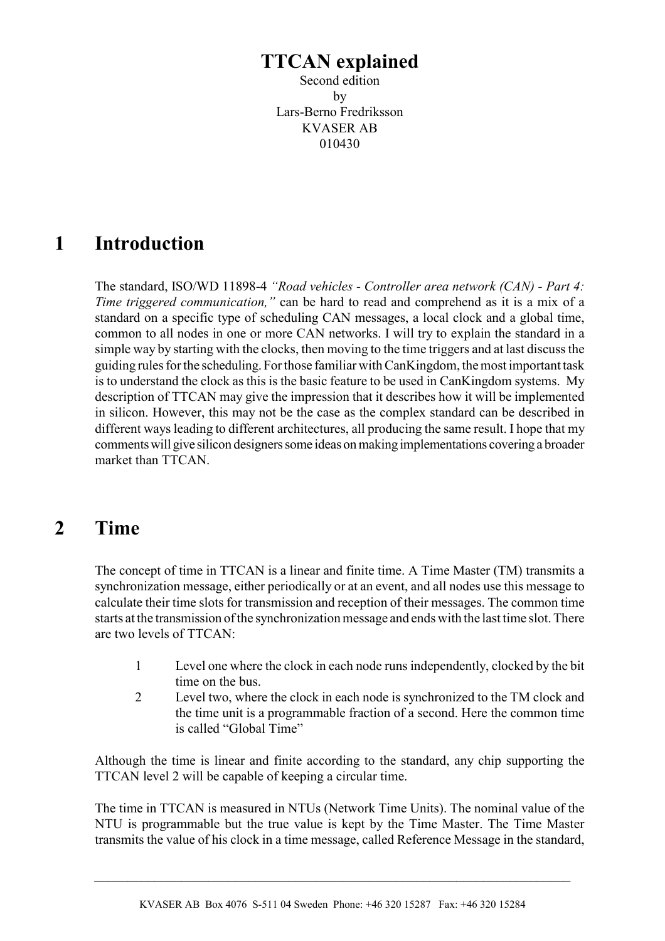# **TTCAN explained**

Second edition by Lars-Berno Fredriksson KVASER AB 010430

# **1 Introduction**

The standard, ISO/WD 11898-4 *"Road vehicles - Controller area network (CAN) - Part 4: Time triggered communication,"* can be hard to read and comprehend as it is a mix of a standard on a specific type of scheduling CAN messages, a local clock and a global time, common to all nodes in one or more CAN networks. I will try to explain the standard in a simple way by starting with the clocks, then moving to the time triggers and at last discuss the guiding rules for the scheduling. For those familiar with CanKingdom, the most important task is to understand the clock as this is the basic feature to be used in CanKingdom systems. My description of TTCAN may give the impression that it describes how it will be implemented in silicon. However, this may not be the case as the complex standard can be described in different ways leading to different architectures, all producing the same result. I hope that my comments will give silicon designers some ideas on making implementations covering a broader market than TTCAN

# **2 Time**

The concept of time in TTCAN is a linear and finite time. A Time Master (TM) transmits a synchronization message, either periodically or at an event, and all nodes use this message to calculate their time slots for transmission and reception of their messages. The common time starts at the transmission of the synchronization message and ends with the last time slot. There are two levels of TTCAN:

- 1 Level one where the clock in each node runs independently, clocked by the bit time on the bus.
- 2 Level two, where the clock in each node is synchronized to the TM clock and the time unit is a programmable fraction of a second. Here the common time is called "Global Time"

Although the time is linear and finite according to the standard, any chip supporting the TTCAN level 2 will be capable of keeping a circular time.

The time in TTCAN is measured in NTUs (Network Time Units). The nominal value of the NTU is programmable but the true value is kept by the Time Master. The Time Master transmits the value of his clock in a time message, called Reference Message in the standard,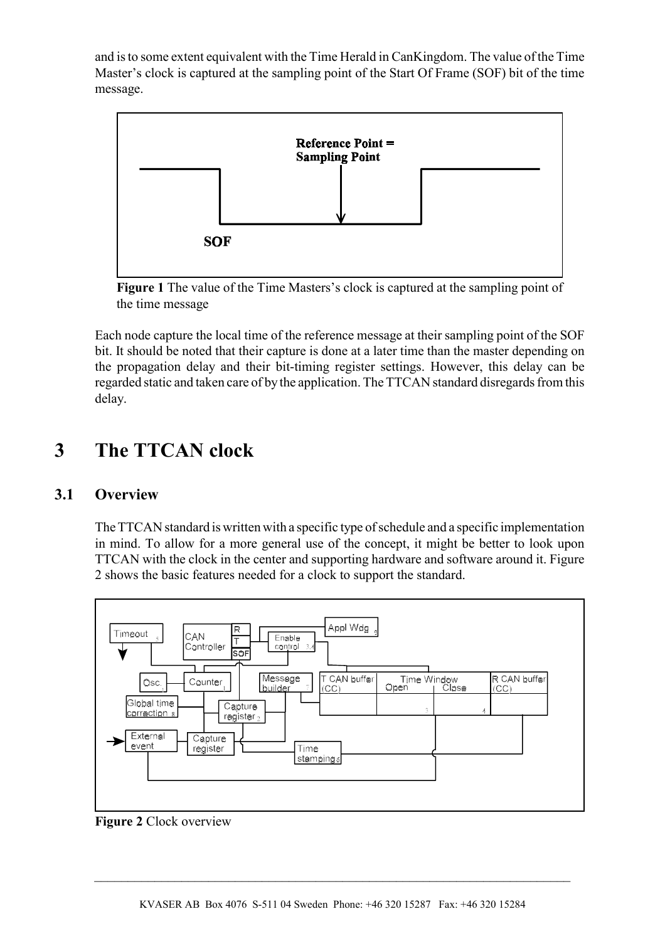and is to some extent equivalent with the Time Herald in CanKingdom. The value of the Time Master's clock is captured at the sampling point of the Start Of Frame (SOF) bit of the time message.



**Figure 1** The value of the Time Masters's clock is captured at the sampling point of the time message

Each node capture the local time of the reference message at their sampling point of the SOF bit. It should be noted that their capture is done at a later time than the master depending on the propagation delay and their bit-timing register settings. However, this delay can be regarded static and taken care of by the application. The TTCAN standard disregards from this delay.

# **3 The TTCAN clock**

## **3.1 Overview**

The TTCAN standard is written with a specific type of schedule and a specific implementation in mind. To allow for a more general use of the concept, it might be better to look upon TTCAN with the clock in the center and supporting hardware and software around it. Figure 2 shows the basic features needed for a clock to support the standard.



**Figure 2** Clock overview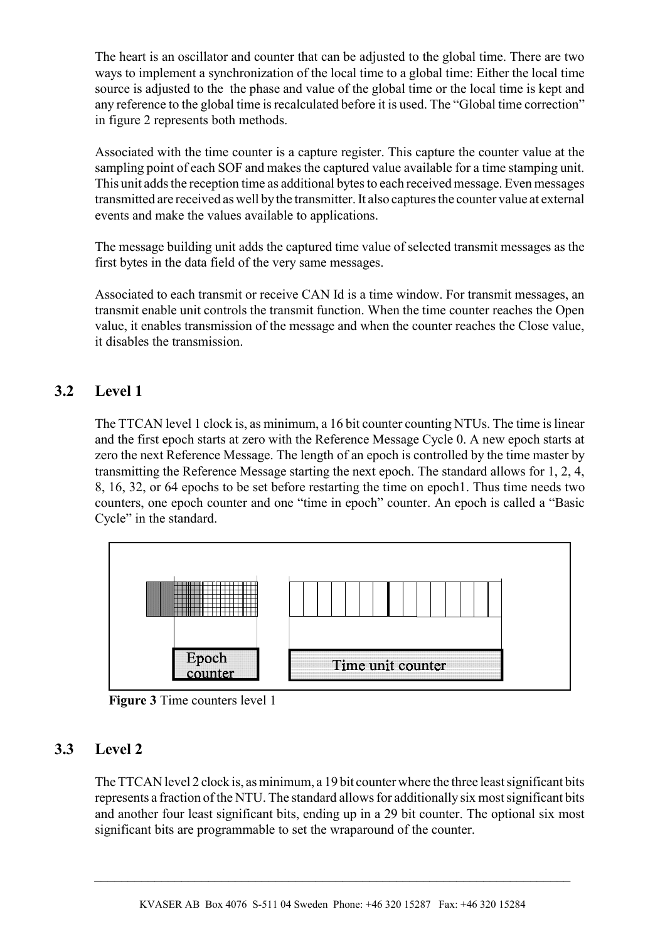The heart is an oscillator and counter that can be adjusted to the global time. There are two ways to implement a synchronization of the local time to a global time: Either the local time source is adjusted to the the phase and value of the global time or the local time is kept and any reference to the global time is recalculated before it is used. The "Global time correction" in figure 2 represents both methods.

Associated with the time counter is a capture register. This capture the counter value at the sampling point of each SOF and makes the captured value available for a time stamping unit. This unit adds the reception time as additional bytes to each received message. Even messages transmitted are received as well by the transmitter. It also captures the counter value at external events and make the values available to applications.

The message building unit adds the captured time value of selected transmit messages as the first bytes in the data field of the very same messages.

Associated to each transmit or receive CAN Id is a time window. For transmit messages, an transmit enable unit controls the transmit function. When the time counter reaches the Open value, it enables transmission of the message and when the counter reaches the Close value, it disables the transmission.

# **3.2 Level 1**

The TTCAN level 1 clock is, as minimum, a 16 bit counter counting NTUs. The time is linear and the first epoch starts at zero with the Reference Message Cycle 0. A new epoch starts at zero the next Reference Message. The length of an epoch is controlled by the time master by transmitting the Reference Message starting the next epoch. The standard allows for 1, 2, 4, 8, 16, 32, or 64 epochs to be set before restarting the time on epoch1. Thus time needs two counters, one epoch counter and one "time in epoch" counter. An epoch is called a "Basic Cycle" in the standard.



**Figure 3** Time counters level 1

## **3.3 Level 2**

The TTCAN level 2 clock is, as minimum, a 19 bit counter where the three least significant bits represents a fraction of the NTU. The standard allows for additionally six most significant bits and another four least significant bits, ending up in a 29 bit counter. The optional six most significant bits are programmable to set the wraparound of the counter.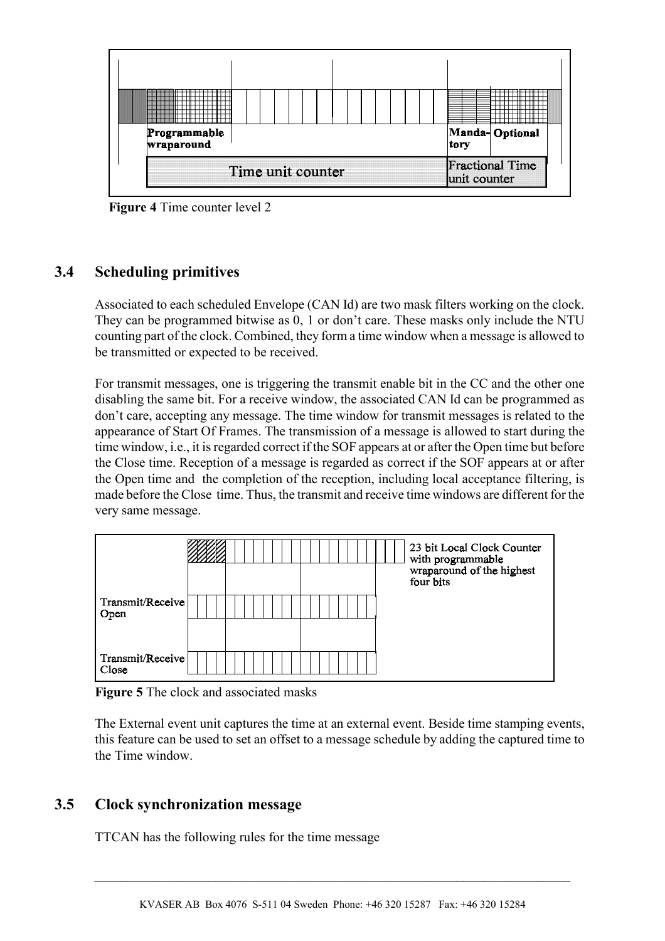

**Figure 4** Time counter level 2

## **3.4 Scheduling primitives**

Associated to each scheduled Envelope (CAN Id) are two mask filters working on the clock. They can be programmed bitwise as 0, 1 or don't care. These masks only include the NTU counting part of the clock. Combined, they form a time window when a message is allowed to be transmitted or expected to be received.

For transmit messages, one is triggering the transmit enable bit in the CC and the other one disabling the same bit. For a receive window, the associated CAN Id can be programmed as don't care, accepting any message. The time window for transmit messages is related to the appearance of Start Of Frames. The transmission of a message is allowed to start during the time window, i.e., it is regarded correct if the SOF appears at or after the Open time but before the Close time. Reception of a message is regarded as correct if the SOF appears at or after the Open time and the completion of the reception, including local acceptance filtering, is made before the Close time. Thus, the transmit and receive time windows are different for the very same message.



**Figure 5** The clock and associated masks

The External event unit captures the time at an external event. Beside time stamping events, this feature can be used to set an offset to a message schedule by adding the captured time to the Time window.

## **3.5 Clock synchronization message**

TTCAN has the following rules for the time message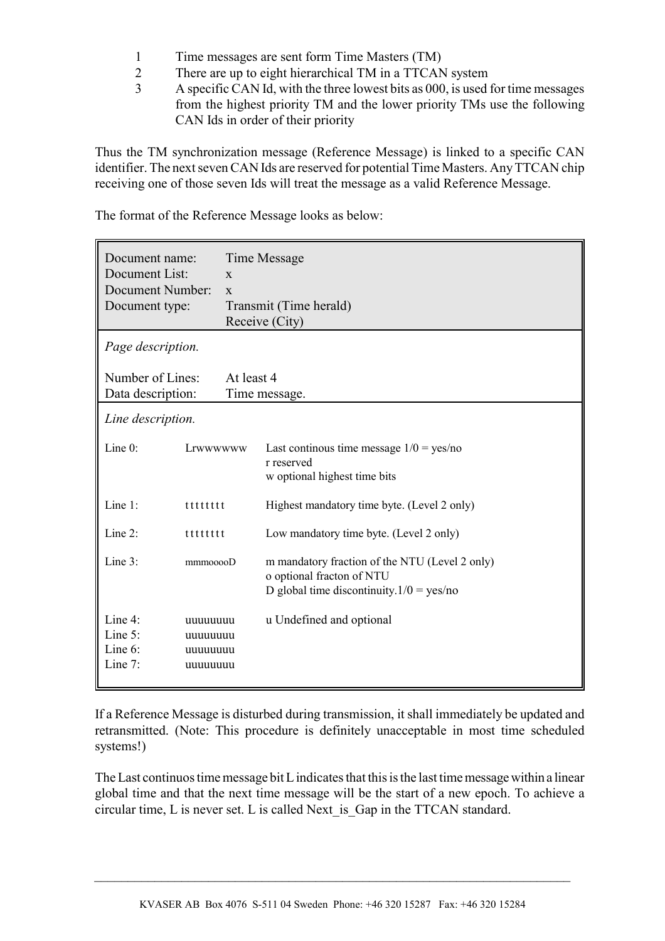- 1 Time messages are sent form Time Masters (TM)
- 2 There are up to eight hierarchical TM in a TTCAN system
- 3 A specific CAN Id, with the three lowest bits as 000, is used for time messages from the highest priority TM and the lower priority TMs use the following CAN Ids in order of their priority

Thus the TM synchronization message (Reference Message) is linked to a specific CAN identifier. The next seven CAN Ids are reserved for potential Time Masters. Any TTCAN chip receiving one of those seven Ids will treat the message as a valid Reference Message.

| Document name:<br>Document List:<br>Document Number:<br>Document type: |                                              | Time Message<br>$\mathbf{X}$<br>$\mathbf{X}$<br>Transmit (Time herald)<br>Receive (City) |                                                                                                                            |  |  |  |
|------------------------------------------------------------------------|----------------------------------------------|------------------------------------------------------------------------------------------|----------------------------------------------------------------------------------------------------------------------------|--|--|--|
| Page description.                                                      |                                              |                                                                                          |                                                                                                                            |  |  |  |
| Number of Lines:<br>Data description:                                  |                                              | At least 4<br>Time message.                                                              |                                                                                                                            |  |  |  |
| Line description.                                                      |                                              |                                                                                          |                                                                                                                            |  |  |  |
| Line $0$ :                                                             | Lrwwwwww                                     |                                                                                          | Last continuos time message $1/0 = yes/no$<br>r reserved<br>w optional highest time bits                                   |  |  |  |
| Line 1:                                                                | tttttttt                                     |                                                                                          | Highest mandatory time byte. (Level 2 only)                                                                                |  |  |  |
| Line 2:                                                                | tttttttt                                     |                                                                                          | Low mandatory time byte. (Level 2 only)                                                                                    |  |  |  |
| Line 3:                                                                | mmmooooD                                     |                                                                                          | m mandatory fraction of the NTU (Level 2 only)<br>o optional fracton of NTU<br>D global time discontinuity. $1/0 = yes/no$ |  |  |  |
| Line 4:<br>Line $5$ :<br>Line 6:<br>Line $7$ :                         | uuuuuuuu<br>uuuuuuuu<br>uuuuuuuu<br>uuuuuuuu |                                                                                          | u Undefined and optional                                                                                                   |  |  |  |

The format of the Reference Message looks as below:

If a Reference Message is disturbed during transmission, it shall immediately be updated and retransmitted. (Note: This procedure is definitely unacceptable in most time scheduled systems!)

The Last continuos time message bit L indicates that this is the last time message within a linear global time and that the next time message will be the start of a new epoch. To achieve a circular time, L is never set. L is called Next\_is\_Gap in the TTCAN standard.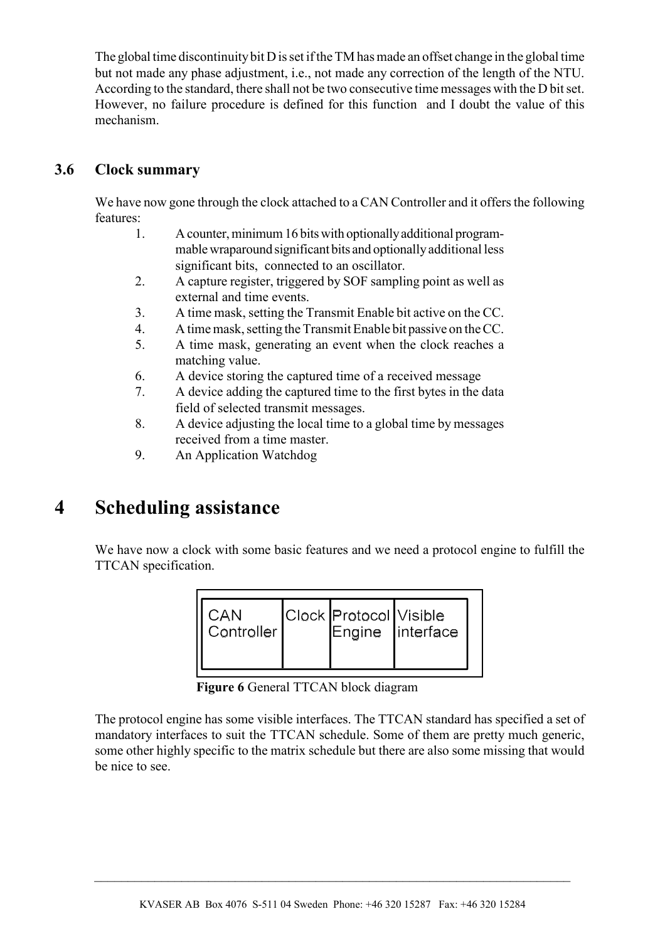The global time discontinuity bit D is set if the TM has made an offset change in the global time but not made any phase adjustment, i.e., not made any correction of the length of the NTU. According to the standard, there shall not be two consecutive time messages with the D bit set. However, no failure procedure is defined for this function and I doubt the value of this mechanism.

## **3.6 Clock summary**

We have now gone through the clock attached to a CAN Controller and it offers the following features:

- 1. A counter, minimum 16 bits with optionally additional programmable wraparound significant bits and optionally additional less significant bits, connected to an oscillator.
- 2. A capture register, triggered by SOF sampling point as well as external and time events.
- 3. A time mask, setting the Transmit Enable bit active on the CC.
- 4. A time mask, setting the Transmit Enable bit passive on the CC.
- 5. A time mask, generating an event when the clock reaches a matching value.
- 6. A device storing the captured time of a received message
- 7. A device adding the captured time to the first bytes in the data field of selected transmit messages.
- 8. A device adjusting the local time to a global time by messages received from a time master.
- 9. An Application Watchdog

# **4 Scheduling assistance**

We have now a clock with some basic features and we need a protocol engine to fulfill the TTCAN specification.

| CAN<br>Controller | Clock Protocol Visible | Engine interface |
|-------------------|------------------------|------------------|
|                   |                        |                  |

**Figure 6** General TTCAN block diagram

The protocol engine has some visible interfaces. The TTCAN standard has specified a set of mandatory interfaces to suit the TTCAN schedule. Some of them are pretty much generic, some other highly specific to the matrix schedule but there are also some missing that would be nice to see.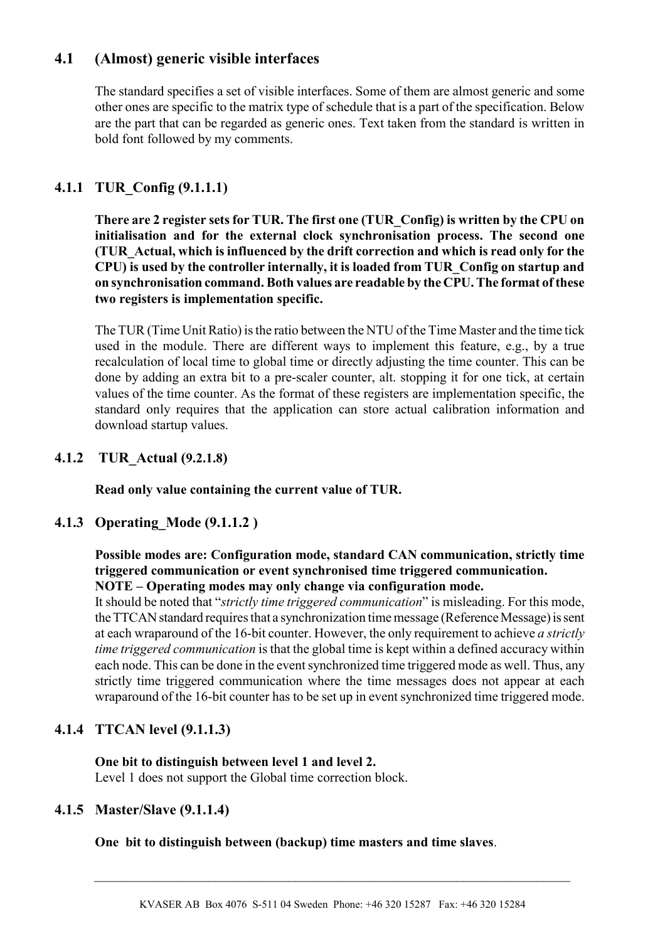# **4.1 (Almost) generic visible interfaces**

The standard specifies a set of visible interfaces. Some of them are almost generic and some other ones are specific to the matrix type of schedule that is a part of the specification. Below are the part that can be regarded as generic ones. Text taken from the standard is written in bold font followed by my comments.

## **4.1.1 TUR\_Config (9.1.1.1)**

**There are 2 register sets for TUR. The first one (TUR\_Config) is written by the CPU on initialisation and for the external clock synchronisation process. The second one (TUR\_Actual, which is influenced by the drift correction and which is read only for the CPU) is used by the controller internally, it is loaded from TUR\_Config on startup and on synchronisation command. Both values are readable by the CPU. The format of these two registers is implementation specific.**

The TUR (Time Unit Ratio) is the ratio between the NTU of the Time Master and the time tick used in the module. There are different ways to implement this feature, e.g., by a true recalculation of local time to global time or directly adjusting the time counter. This can be done by adding an extra bit to a pre-scaler counter, alt. stopping it for one tick, at certain values of the time counter. As the format of these registers are implementation specific, the standard only requires that the application can store actual calibration information and download startup values.

## **4.1.2 TUR\_Actual (9.2.1.8)**

**Read only value containing the current value of TUR.**

## **4.1.3 Operating\_Mode (9.1.1.2 )**

#### **Possible modes are: Configuration mode, standard CAN communication, strictly time triggered communication or event synchronised time triggered communication. NOTE – Operating modes may only change via configuration mode.**

It should be noted that "*strictly time triggered communication*" is misleading. For this mode, the TTCAN standard requires that a synchronization time message (Reference Message) is sent at each wraparound of the 16-bit counter. However, the only requirement to achieve *a strictly time triggered communication* is that the global time is kept within a defined accuracy within each node. This can be done in the event synchronized time triggered mode as well. Thus, any strictly time triggered communication where the time messages does not appear at each wraparound of the 16-bit counter has to be set up in event synchronized time triggered mode.

## **4.1.4 TTCAN level (9.1.1.3)**

#### **One bit to distinguish between level 1 and level 2.**

Level 1 does not support the Global time correction block.

## **4.1.5 Master/Slave (9.1.1.4)**

#### **One bit to distinguish between (backup) time masters and time slaves**.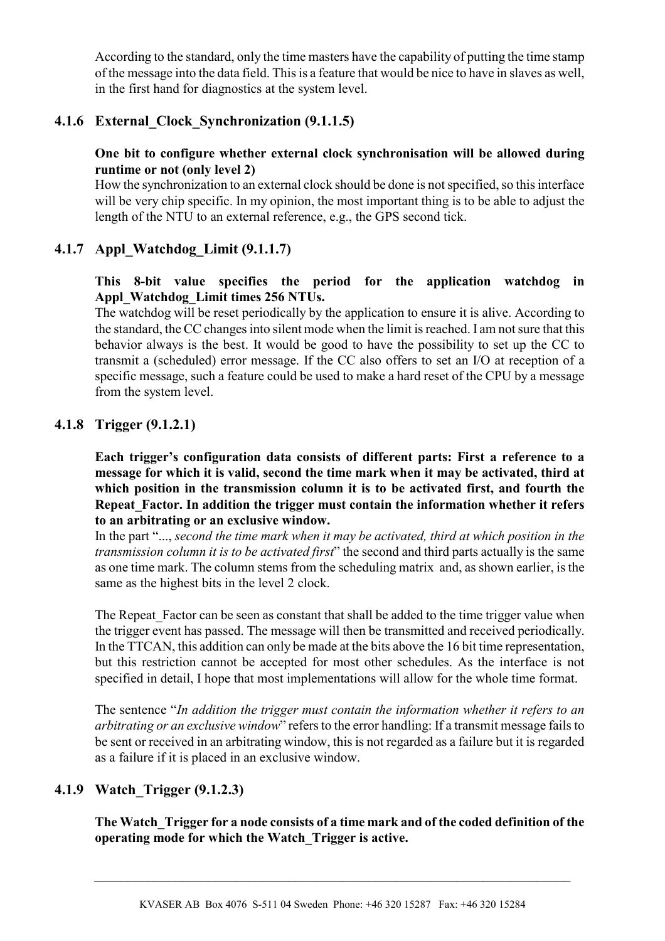According to the standard, only the time masters have the capability of putting the time stamp of the message into the data field. This is a feature that would be nice to have in slaves as well, in the first hand for diagnostics at the system level.

## **4.1.6 External\_Clock\_Synchronization (9.1.1.5)**

#### **One bit to configure whether external clock synchronisation will be allowed during runtime or not (only level 2)**

How the synchronization to an external clock should be done is not specified, so this interface will be very chip specific. In my opinion, the most important thing is to be able to adjust the length of the NTU to an external reference, e.g., the GPS second tick.

## **4.1.7 Appl\_Watchdog\_Limit (9.1.1.7)**

#### **This 8-bit value specifies the period for the application watchdog in Appl\_Watchdog\_Limit times 256 NTUs.**

The watchdog will be reset periodically by the application to ensure it is alive. According to the standard, the CC changes into silent mode when the limit is reached. I am not sure that this behavior always is the best. It would be good to have the possibility to set up the CC to transmit a (scheduled) error message. If the CC also offers to set an I/O at reception of a specific message, such a feature could be used to make a hard reset of the CPU by a message from the system level.

#### **4.1.8 Trigger (9.1.2.1)**

**Each trigger's configuration data consists of different parts: First a reference to a message for which it is valid, second the time mark when it may be activated, third at which position in the transmission column it is to be activated first, and fourth the Repeat\_Factor. In addition the trigger must contain the information whether it refers to an arbitrating or an exclusive window.**

In the part "..., *second the time mark when it may be activated, third at which position in the transmission column it is to be activated first*" the second and third parts actually is the same as one time mark. The column stems from the scheduling matrix and, as shown earlier, is the same as the highest bits in the level 2 clock.

The Repeat Factor can be seen as constant that shall be added to the time trigger value when the trigger event has passed. The message will then be transmitted and received periodically. In the TTCAN, this addition can only be made at the bits above the 16 bit time representation, but this restriction cannot be accepted for most other schedules. As the interface is not specified in detail, I hope that most implementations will allow for the whole time format.

The sentence "*In addition the trigger must contain the information whether it refers to an arbitrating or an exclusive window*" refers to the error handling: If a transmit message fails to be sent or received in an arbitrating window, this is not regarded as a failure but it is regarded as a failure if it is placed in an exclusive window.

## **4.1.9 Watch\_Trigger (9.1.2.3)**

**The Watch\_Trigger for a node consists of a time mark and of the coded definition of the operating mode for which the Watch\_Trigger is active.**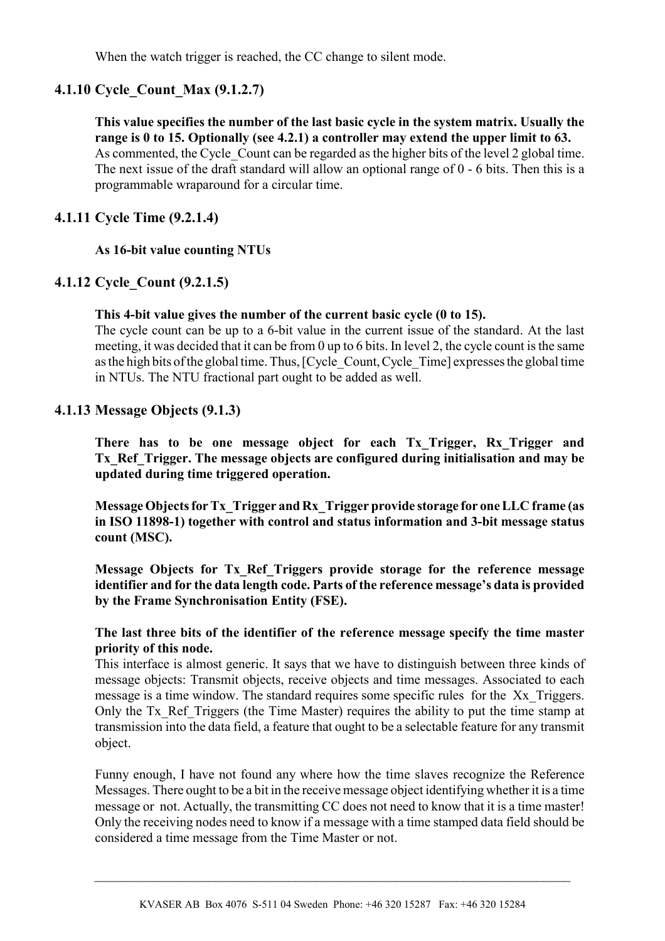When the watch trigger is reached, the CC change to silent mode.

## **4.1.10 Cycle\_Count\_Max (9.1.2.7)**

**This value specifies the number of the last basic cycle in the system matrix. Usually the range is 0 to 15. Optionally (see 4.2.1) a controller may extend the upper limit to 63.** As commented, the Cycle Count can be regarded as the higher bits of the level 2 global time. The next issue of the draft standard will allow an optional range of 0 - 6 bits. Then this is a programmable wraparound for a circular time.

#### **4.1.11 Cycle Time (9.2.1.4)**

#### **As 16-bit value counting NTUs**

#### **4.1.12 Cycle\_Count (9.2.1.5)**

#### **This 4-bit value gives the number of the current basic cycle (0 to 15).**

The cycle count can be up to a 6-bit value in the current issue of the standard. At the last meeting, it was decided that it can be from 0 up to 6 bits. In level 2, the cycle count is the same as the high bits of the global time. Thus, [Cycle\_Count, Cycle\_Time] expresses the global time in NTUs. The NTU fractional part ought to be added as well.

#### **4.1.13 Message Objects (9.1.3)**

**There has to be one message object for each Tx\_Trigger, Rx\_Trigger and Tx\_Ref\_Trigger. The message objects are configured during initialisation and may be updated during time triggered operation.**

**Message Objects for Tx\_Trigger and Rx\_Trigger provide storage for one LLC frame (as in ISO 11898-1) together with control and status information and 3-bit message status count (MSC).** 

**Message Objects for Tx\_Ref\_Triggers provide storage for the reference message identifier and for the data length code. Parts of the reference message's data is provided by the Frame Synchronisation Entity (FSE).** 

#### **The last three bits of the identifier of the reference message specify the time master priority of this node.**

This interface is almost generic. It says that we have to distinguish between three kinds of message objects: Transmit objects, receive objects and time messages. Associated to each message is a time window. The standard requires some specific rules for the Xx\_Triggers. Only the Tx\_Ref\_Triggers (the Time Master) requires the ability to put the time stamp at transmission into the data field, a feature that ought to be a selectable feature for any transmit object.

Funny enough, I have not found any where how the time slaves recognize the Reference Messages. There ought to be a bit in the receive message object identifying whether it is a time message or not. Actually, the transmitting CC does not need to know that it is a time master! Only the receiving nodes need to know if a message with a time stamped data field should be considered a time message from the Time Master or not.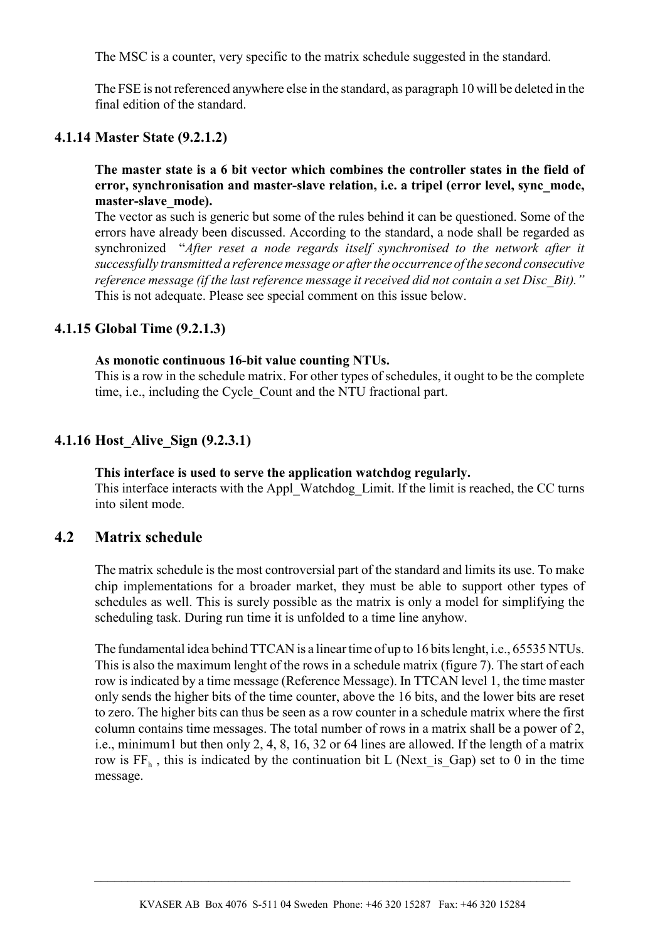The MSC is a counter, very specific to the matrix schedule suggested in the standard.

The FSE is not referenced anywhere else in the standard, as paragraph 10 will be deleted in the final edition of the standard.

#### **4.1.14 Master State (9.2.1.2)**

**The master state is a 6 bit vector which combines the controller states in the field of error, synchronisation and master-slave relation, i.e. a tripel (error level, sync\_mode, master-slave\_mode).**

The vector as such is generic but some of the rules behind it can be questioned. Some of the errors have already been discussed. According to the standard, a node shall be regarded as synchronized "*After reset a node regards itself synchronised to the network after it successfully transmitted a reference message or after the occurrence of the second consecutive reference message (if the last reference message it received did not contain a set Disc\_Bit)."* This is not adequate. Please see special comment on this issue below.

#### **4.1.15 Global Time (9.2.1.3)**

#### **As monotic continuous 16-bit value counting NTUs.**

This is a row in the schedule matrix. For other types of schedules, it ought to be the complete time, i.e., including the Cycle\_Count and the NTU fractional part.

#### **4.1.16 Host\_Alive\_Sign (9.2.3.1)**

#### **This interface is used to serve the application watchdog regularly.**

This interface interacts with the Appl\_Watchdog\_Limit. If the limit is reached, the CC turns into silent mode.

#### **4.2 Matrix schedule**

The matrix schedule is the most controversial part of the standard and limits its use. To make chip implementations for a broader market, they must be able to support other types of schedules as well. This is surely possible as the matrix is only a model for simplifying the scheduling task. During run time it is unfolded to a time line anyhow.

The fundamental idea behind TTCAN is a linear time of up to 16 bits lenght, i.e., 65535 NTUs. This is also the maximum lenght of the rows in a schedule matrix (figure 7). The start of each row is indicated by a time message (Reference Message). In TTCAN level 1, the time master only sends the higher bits of the time counter, above the 16 bits, and the lower bits are reset to zero. The higher bits can thus be seen as a row counter in a schedule matrix where the first column contains time messages. The total number of rows in a matrix shall be a power of 2, i.e., minimum1 but then only 2, 4, 8, 16, 32 or 64 lines are allowed. If the length of a matrix row is  $FF_h$ , this is indicated by the continuation bit L (Next is Gap) set to 0 in the time message.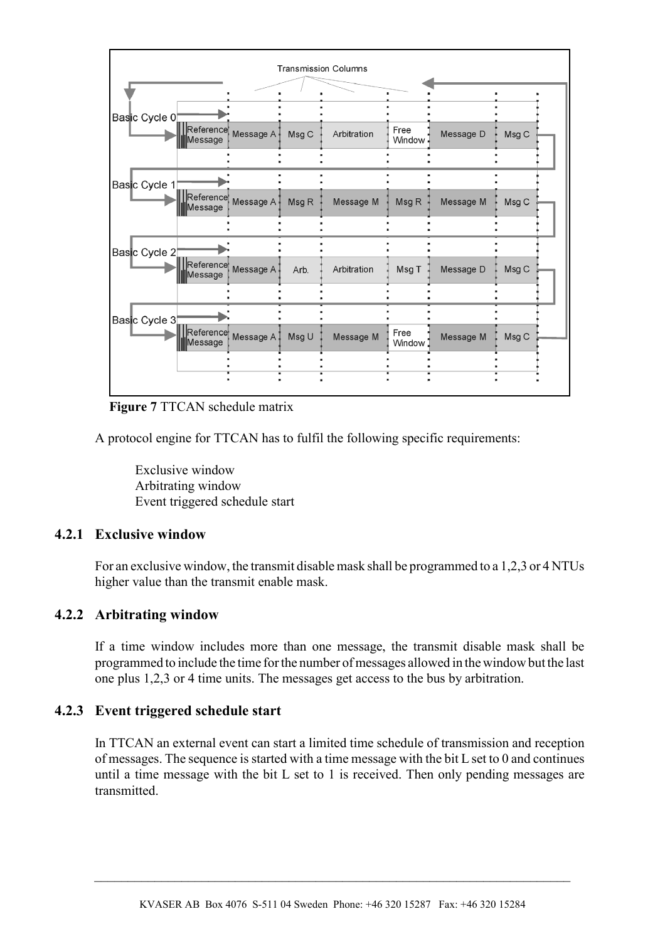

**Figure 7** TTCAN schedule matrix

A protocol engine for TTCAN has to fulfil the following specific requirements:

Exclusive window Arbitrating window Event triggered schedule start

#### **4.2.1 Exclusive window**

For an exclusive window, the transmit disable mask shall be programmed to a 1,2,3 or 4 NTUs higher value than the transmit enable mask.

#### **4.2.2 Arbitrating window**

If a time window includes more than one message, the transmit disable mask shall be programmed to include the time for the number of messages allowed in the window but the last one plus 1,2,3 or 4 time units. The messages get access to the bus by arbitration.

#### **4.2.3 Event triggered schedule start**

In TTCAN an external event can start a limited time schedule of transmission and reception of messages. The sequence is started with a time message with the bit L set to 0 and continues until a time message with the bit L set to 1 is received. Then only pending messages are transmitted.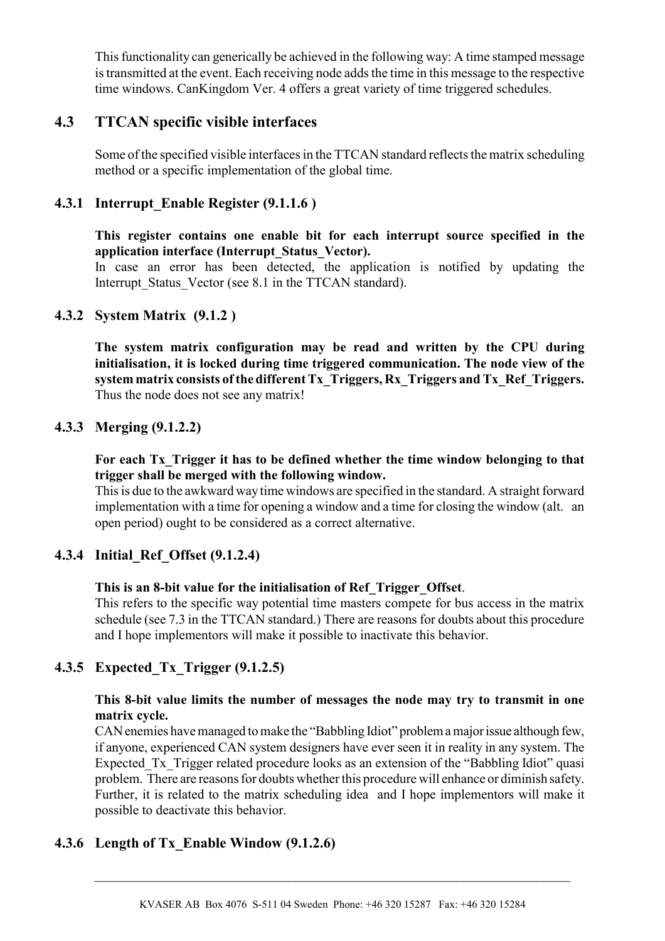This functionality can generically be achieved in the following way: A time stamped message is transmitted at the event. Each receiving node adds the time in this message to the respective time windows. CanKingdom Ver. 4 offers a great variety of time triggered schedules.

## **4.3 TTCAN specific visible interfaces**

Some of the specified visible interfaces in the TTCAN standard reflects the matrix scheduling method or a specific implementation of the global time.

#### **4.3.1 Interrupt\_Enable Register (9.1.1.6 )**

**This register contains one enable bit for each interrupt source specified in the application interface (Interrupt\_Status\_Vector).**

In case an error has been detected, the application is notified by updating the Interrupt Status Vector (see 8.1 in the TTCAN standard).

#### **4.3.2 System Matrix (9.1.2 )**

**The system matrix configuration may be read and written by the CPU during initialisation, it is locked during time triggered communication. The node view of the system matrix consists of the different Tx\_Triggers, Rx\_Triggers and Tx\_Ref\_Triggers.** Thus the node does not see any matrix!

#### **4.3.3 Merging (9.1.2.2)**

**For each Tx\_Trigger it has to be defined whether the time window belonging to that trigger shall be merged with the following window.**

This is due to the awkward way time windows are specified in the standard. A straight forward implementation with a time for opening a window and a time for closing the window (alt. an open period) ought to be considered as a correct alternative.

## **4.3.4 Initial\_Ref\_Offset (9.1.2.4)**

#### **This is an 8-bit value for the initialisation of Ref\_Trigger\_Offset**.

This refers to the specific way potential time masters compete for bus access in the matrix schedule (see 7.3 in the TTCAN standard.) There are reasons for doubts about this procedure and I hope implementors will make it possible to inactivate this behavior.

## **4.3.5 Expected\_Tx\_Trigger (9.1.2.5)**

#### **This 8-bit value limits the number of messages the node may try to transmit in one matrix cycle.**

CAN enemies have managed to make the "Babbling Idiot" problem a major issue although few, if anyone, experienced CAN system designers have ever seen it in reality in any system. The Expected Tx Trigger related procedure looks as an extension of the "Babbling Idiot" quasi problem. There are reasons for doubts whether this procedure will enhance or diminish safety. Further, it is related to the matrix scheduling idea and I hope implementors will make it possible to deactivate this behavior.

## **4.3.6 Length of Tx\_Enable Window (9.1.2.6)**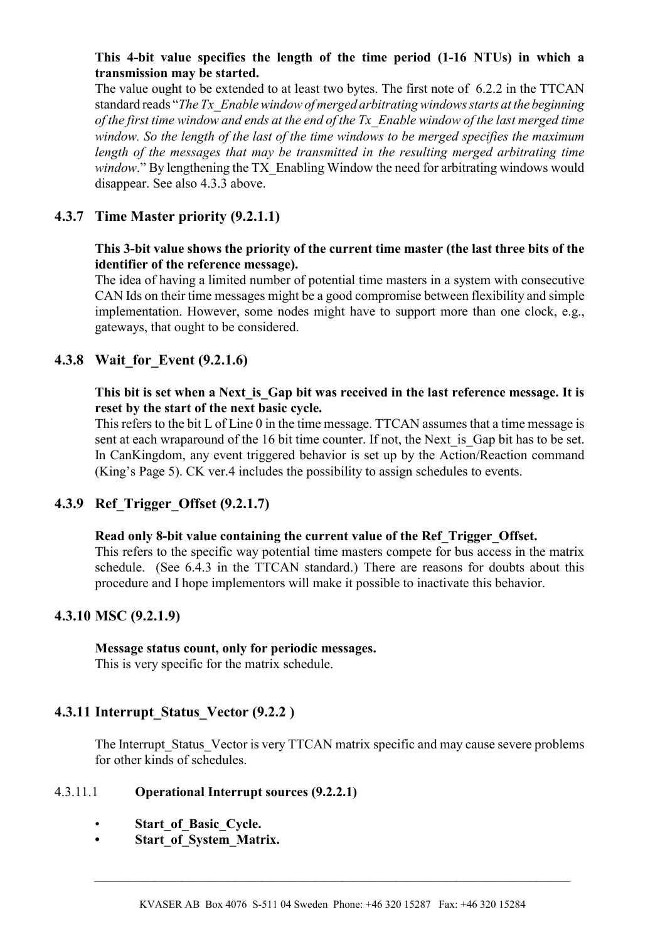#### **This 4-bit value specifies the length of the time period (1-16 NTUs) in which a transmission may be started.**

The value ought to be extended to at least two bytes. The first note of 6.2.2 in the TTCAN standard reads "*The Tx\_Enable window of merged arbitrating windows starts at the beginning of the first time window and ends at the end of the Tx\_Enable window of the last merged time window. So the length of the last of the time windows to be merged specifies the maximum length of the messages that may be transmitted in the resulting merged arbitrating time window*." By lengthening the TX Enabling Window the need for arbitrating windows would disappear. See also 4.3.3 above.

## **4.3.7 Time Master priority (9.2.1.1)**

#### **This 3-bit value shows the priority of the current time master (the last three bits of the identifier of the reference message).**

The idea of having a limited number of potential time masters in a system with consecutive CAN Ids on their time messages might be a good compromise between flexibility and simple implementation. However, some nodes might have to support more than one clock, e.g., gateways, that ought to be considered.

## **4.3.8 Wait\_for\_Event (9.2.1.6)**

#### **This bit is set when a Next\_is\_Gap bit was received in the last reference message. It is reset by the start of the next basic cycle.**

This refers to the bit L of Line 0 in the time message. TTCAN assumes that a time message is sent at each wraparound of the 16 bit time counter. If not, the Next is Gap bit has to be set. In CanKingdom, any event triggered behavior is set up by the Action/Reaction command (King's Page 5). CK ver.4 includes the possibility to assign schedules to events.

## **4.3.9 Ref\_Trigger\_Offset (9.2.1.7)**

#### **Read only 8-bit value containing the current value of the Ref\_Trigger\_Offset.**

This refers to the specific way potential time masters compete for bus access in the matrix schedule. (See 6.4.3 in the TTCAN standard.) There are reasons for doubts about this procedure and I hope implementors will make it possible to inactivate this behavior.

## **4.3.10 MSC (9.2.1.9)**

**Message status count, only for periodic messages.** This is very specific for the matrix schedule.

## **4.3.11 Interrupt\_Status\_Vector (9.2.2 )**

The Interrupt Status Vector is very TTCAN matrix specific and may cause severe problems for other kinds of schedules.

#### 4.3.11.1 **Operational Interrupt sources (9.2.2.1)**

- **Start\_of\_Basic\_Cycle.**
- **Start\_of\_System\_Matrix.**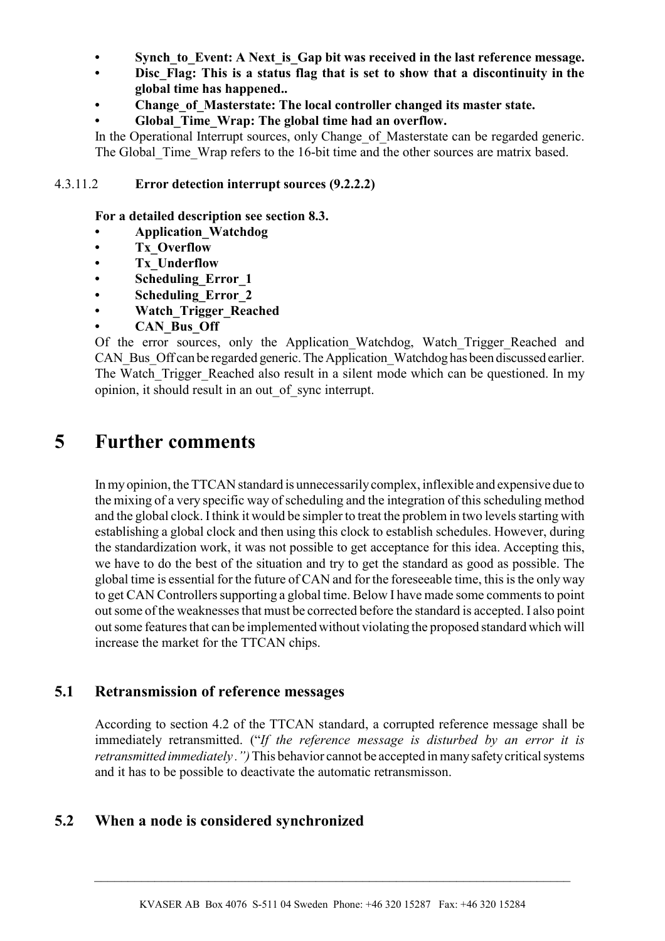- Synch to Event: A Next is Gap bit was received in the last reference message.
- **Disc\_Flag: This is a status flag that is set to show that a discontinuity in the global time has happened..**
- **Change\_of\_Masterstate: The local controller changed its master state.**
- **Global\_Time\_Wrap: The global time had an overflow.**

In the Operational Interrupt sources, only Change of Masterstate can be regarded generic. The Global Time Wrap refers to the 16-bit time and the other sources are matrix based.

#### 4.3.11.2 **Error detection interrupt sources (9.2.2.2)**

**For a detailed description see section 8.3.**

- **Application\_Watchdog**
- **Tx\_Overflow**
- **Tx\_Underflow**
- **Scheduling\_Error\_1**
- **Scheduling\_Error\_2**
- **Watch\_Trigger\_Reached**
- **CAN\_Bus\_Off**

Of the error sources, only the Application Watchdog, Watch Trigger Reached and CAN Bus Off can be regarded generic. The Application Watchdog has been discussed earlier. The Watch Trigger Reached also result in a silent mode which can be questioned. In my opinion, it should result in an out\_of\_sync interrupt.

# **5 Further comments**

In my opinion, the TTCAN standard is unnecessarily complex, inflexible and expensive due to the mixing of a very specific way of scheduling and the integration of this scheduling method and the global clock. I think it would be simpler to treat the problem in two levels starting with establishing a global clock and then using this clock to establish schedules. However, during the standardization work, it was not possible to get acceptance for this idea. Accepting this, we have to do the best of the situation and try to get the standard as good as possible. The global time is essential for the future of CAN and for the foreseeable time, this is the only way to get CAN Controllers supporting a global time. Below I have made some comments to point out some of the weaknesses that must be corrected before the standard is accepted. I also point out some features that can be implemented without violating the proposed standard which will increase the market for the TTCAN chips.

## **5.1 Retransmission of reference messages**

According to section 4.2 of the TTCAN standard, a corrupted reference message shall be immediately retransmitted. ("*If the reference message is disturbed by an error it is retransmitted immediately .")* This behavior cannot be accepted in many safety critical systems and it has to be possible to deactivate the automatic retransmisson.

## **5.2 When a node is considered synchronized**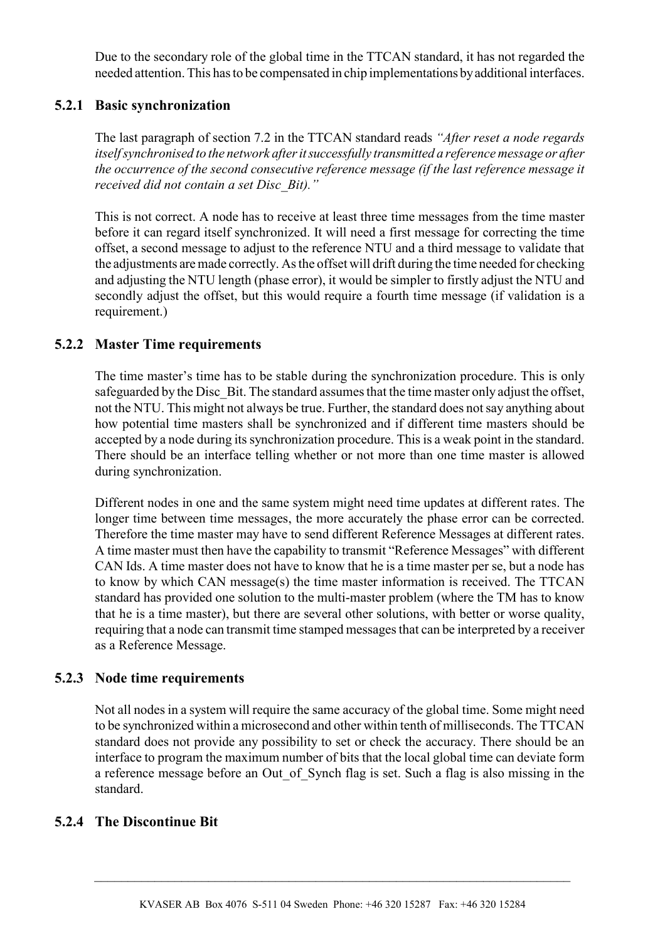Due to the secondary role of the global time in the TTCAN standard, it has not regarded the needed attention. This has to be compensated in chip implementations by additional interfaces.

## **5.2.1 Basic synchronization**

The last paragraph of section 7.2 in the TTCAN standard reads *"After reset a node regards itself synchronised to the network after it successfully transmitted a reference message or after the occurrence of the second consecutive reference message (if the last reference message it received did not contain a set Disc\_Bit)."*

This is not correct. A node has to receive at least three time messages from the time master before it can regard itself synchronized. It will need a first message for correcting the time offset, a second message to adjust to the reference NTU and a third message to validate that the adjustments are made correctly. As the offset will drift during the time needed for checking and adjusting the NTU length (phase error), it would be simpler to firstly adjust the NTU and secondly adjust the offset, but this would require a fourth time message (if validation is a requirement.)

#### **5.2.2 Master Time requirements**

The time master's time has to be stable during the synchronization procedure. This is only safeguarded by the Disc Bit. The standard assumes that the time master only adjust the offset, not the NTU. This might not always be true. Further, the standard does not say anything about how potential time masters shall be synchronized and if different time masters should be accepted by a node during its synchronization procedure. This is a weak point in the standard. There should be an interface telling whether or not more than one time master is allowed during synchronization.

Different nodes in one and the same system might need time updates at different rates. The longer time between time messages, the more accurately the phase error can be corrected. Therefore the time master may have to send different Reference Messages at different rates. A time master must then have the capability to transmit "Reference Messages" with different CAN Ids. A time master does not have to know that he is a time master per se, but a node has to know by which CAN message(s) the time master information is received. The TTCAN standard has provided one solution to the multi-master problem (where the TM has to know that he is a time master), but there are several other solutions, with better or worse quality, requiring that a node can transmit time stamped messages that can be interpreted by a receiver as a Reference Message.

#### **5.2.3 Node time requirements**

Not all nodes in a system will require the same accuracy of the global time. Some might need to be synchronized within a microsecond and other within tenth of milliseconds. The TTCAN standard does not provide any possibility to set or check the accuracy. There should be an interface to program the maximum number of bits that the local global time can deviate form a reference message before an Out of Synch flag is set. Such a flag is also missing in the standard.

#### **5.2.4 The Discontinue Bit**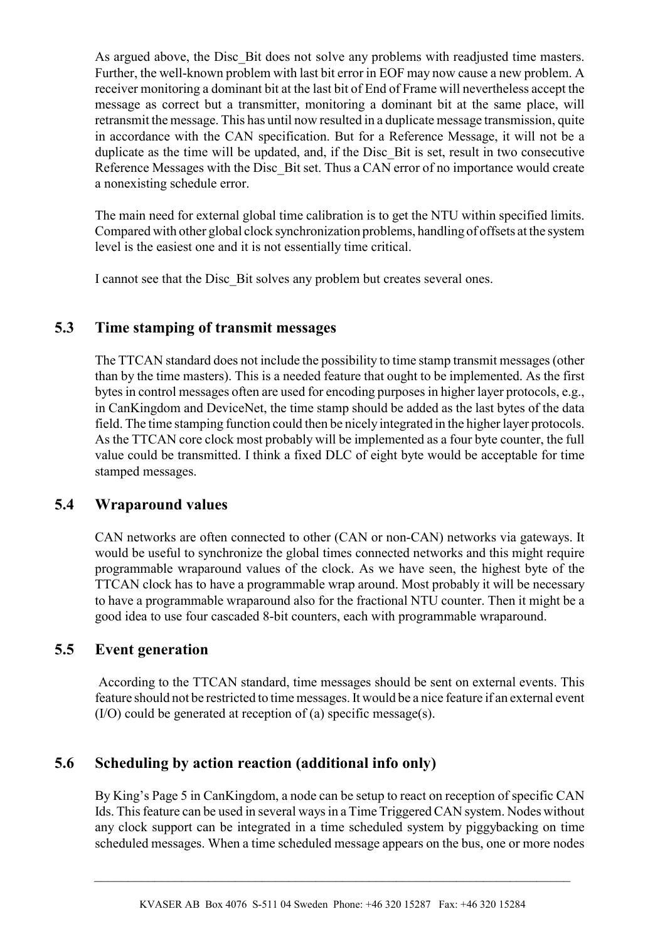As argued above, the Disc Bit does not solve any problems with readjusted time masters. Further, the well-known problem with last bit error in EOF may now cause a new problem. A receiver monitoring a dominant bit at the last bit of End of Frame will nevertheless accept the message as correct but a transmitter, monitoring a dominant bit at the same place, will retransmit the message. This has until now resulted in a duplicate message transmission, quite in accordance with the CAN specification. But for a Reference Message, it will not be a duplicate as the time will be updated, and, if the Disc Bit is set, result in two consecutive Reference Messages with the Disc Bit set. Thus a CAN error of no importance would create a nonexisting schedule error.

The main need for external global time calibration is to get the NTU within specified limits. Compared with other global clock synchronization problems, handling of offsets at the system level is the easiest one and it is not essentially time critical.

I cannot see that the Disc\_Bit solves any problem but creates several ones.

## **5.3 Time stamping of transmit messages**

The TTCAN standard does not include the possibility to time stamp transmit messages (other than by the time masters). This is a needed feature that ought to be implemented. As the first bytes in control messages often are used for encoding purposes in higher layer protocols, e.g., in CanKingdom and DeviceNet, the time stamp should be added as the last bytes of the data field. The time stamping function could then be nicely integrated in the higher layer protocols. As the TTCAN core clock most probably will be implemented as a four byte counter, the full value could be transmitted. I think a fixed DLC of eight byte would be acceptable for time stamped messages.

## **5.4 Wraparound values**

CAN networks are often connected to other (CAN or non-CAN) networks via gateways. It would be useful to synchronize the global times connected networks and this might require programmable wraparound values of the clock. As we have seen, the highest byte of the TTCAN clock has to have a programmable wrap around. Most probably it will be necessary to have a programmable wraparound also for the fractional NTU counter. Then it might be a good idea to use four cascaded 8-bit counters, each with programmable wraparound.

## **5.5 Event generation**

 According to the TTCAN standard, time messages should be sent on external events. This feature should not be restricted to time messages. It would be a nice feature if an external event (I/O) could be generated at reception of (a) specific message(s).

## **5.6 Scheduling by action reaction (additional info only)**

By King's Page 5 in CanKingdom, a node can be setup to react on reception of specific CAN Ids. This feature can be used in several ways in a Time Triggered CAN system. Nodes without any clock support can be integrated in a time scheduled system by piggybacking on time scheduled messages. When a time scheduled message appears on the bus, one or more nodes